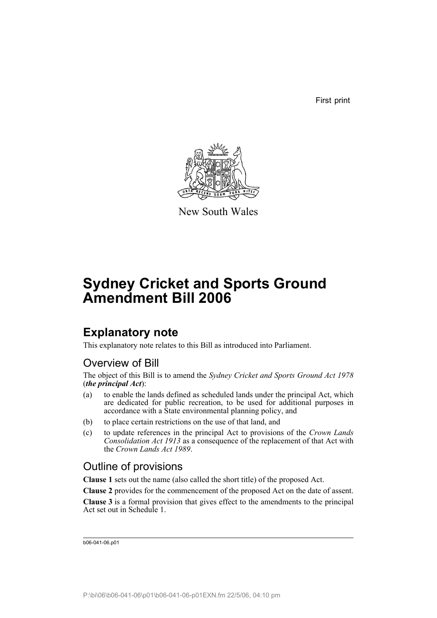First print



New South Wales

# **Sydney Cricket and Sports Ground Amendment Bill 2006**

# **Explanatory note**

This explanatory note relates to this Bill as introduced into Parliament.

## Overview of Bill

The object of this Bill is to amend the *Sydney Cricket and Sports Ground Act 1978* (*the principal Act*):

- (a) to enable the lands defined as scheduled lands under the principal Act, which are dedicated for public recreation, to be used for additional purposes in accordance with a State environmental planning policy, and
- (b) to place certain restrictions on the use of that land, and
- (c) to update references in the principal Act to provisions of the *Crown Lands Consolidation Act 1913* as a consequence of the replacement of that Act with the *Crown Lands Act 1989*.

## Outline of provisions

**Clause 1** sets out the name (also called the short title) of the proposed Act.

**Clause 2** provides for the commencement of the proposed Act on the date of assent.

**Clause 3** is a formal provision that gives effect to the amendments to the principal Act set out in Schedule 1.

b06-041-06.p01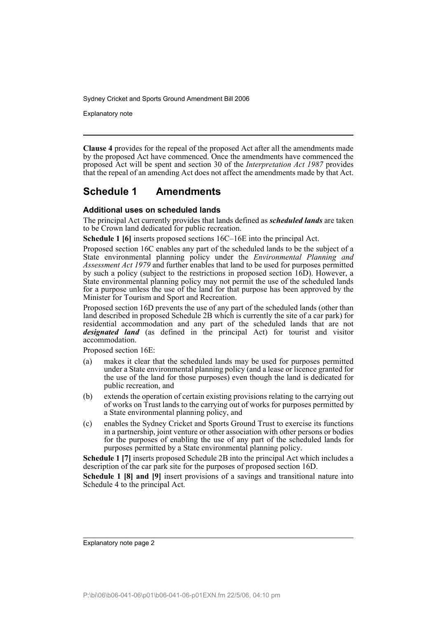Explanatory note

**Clause 4** provides for the repeal of the proposed Act after all the amendments made by the proposed Act have commenced. Once the amendments have commenced the proposed Act will be spent and section 30 of the *Interpretation Act 1987* provides that the repeal of an amending Act does not affect the amendments made by that Act.

## **Schedule 1 Amendments**

### **Additional uses on scheduled lands**

The principal Act currently provides that lands defined as *scheduled lands* are taken to be Crown land dedicated for public recreation.

**Schedule 1 [6]** inserts proposed sections 16C–16E into the principal Act.

Proposed section 16C enables any part of the scheduled lands to be the subject of a State environmental planning policy under the *Environmental Planning and Assessment Act 1979* and further enables that land to be used for purposes permitted by such a policy (subject to the restrictions in proposed section 16D). However, a State environmental planning policy may not permit the use of the scheduled lands for a purpose unless the use of the land for that purpose has been approved by the Minister for Tourism and Sport and Recreation.

Proposed section 16D prevents the use of any part of the scheduled lands (other than land described in proposed Schedule 2B which is currently the site of a car park) for residential accommodation and any part of the scheduled lands that are not *designated land* (as defined in the principal Act) for tourist and visitor accommodation.

Proposed section 16E:

- (a) makes it clear that the scheduled lands may be used for purposes permitted under a State environmental planning policy (and a lease or licence granted for the use of the land for those purposes) even though the land is dedicated for public recreation, and
- (b) extends the operation of certain existing provisions relating to the carrying out of works on Trust lands to the carrying out of works for purposes permitted by a State environmental planning policy, and
- (c) enables the Sydney Cricket and Sports Ground Trust to exercise its functions in a partnership, joint venture or other association with other persons or bodies for the purposes of enabling the use of any part of the scheduled lands for purposes permitted by a State environmental planning policy.

**Schedule 1 [7]** inserts proposed Schedule 2B into the principal Act which includes a description of the car park site for the purposes of proposed section 16D.

**Schedule 1 [8] and [9]** insert provisions of a savings and transitional nature into Schedule 4 to the principal Act.

Explanatory note page 2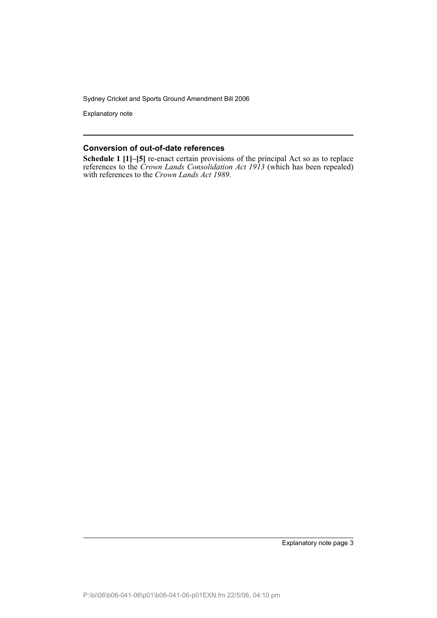Explanatory note

### **Conversion of out-of-date references**

**Schedule 1 [1]–[5]** re-enact certain provisions of the principal Act so as to replace references to the *Crown Lands Consolidation Act 1913* (which has been repealed) with references to the *Crown Lands Act 1989*.

Explanatory note page 3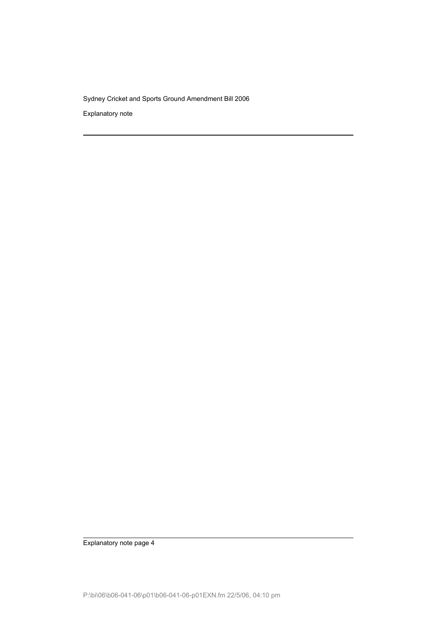Explanatory note

Explanatory note page 4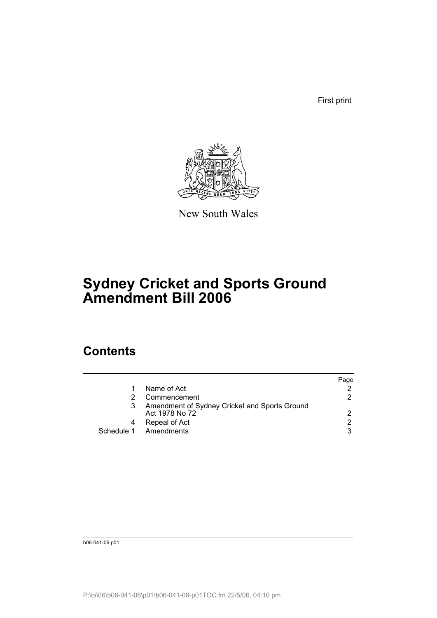First print



New South Wales

# **Sydney Cricket and Sports Ground Amendment Bill 2006**

# **Contents**

|   |                                                                 | Paqe |
|---|-----------------------------------------------------------------|------|
|   | Name of Act                                                     | 2    |
|   | Commencement                                                    | 2    |
| 3 | Amendment of Sydney Cricket and Sports Ground<br>Act 1978 No 72 | 2    |
|   | Repeal of Act                                                   | 2    |
|   | Schedule 1 Amendments                                           | 3    |

b06-041-06.p01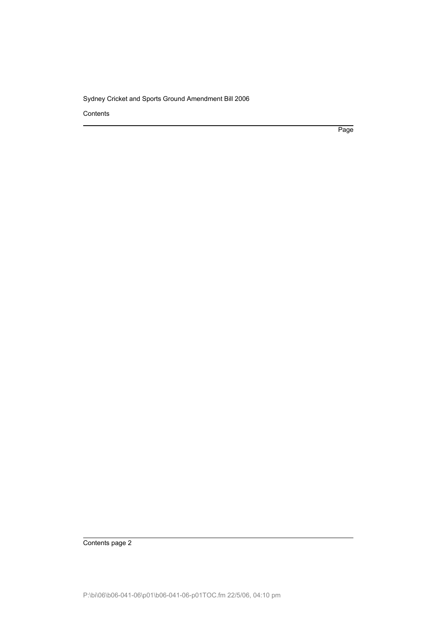Contents

Page

Contents page 2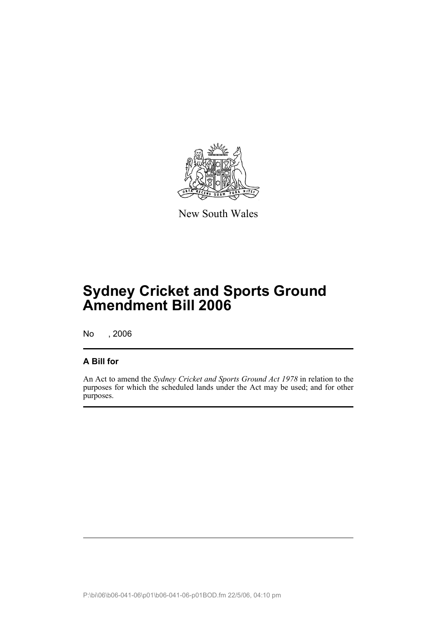

New South Wales

# **Sydney Cricket and Sports Ground Amendment Bill 2006**

No , 2006

## **A Bill for**

An Act to amend the *Sydney Cricket and Sports Ground Act 1978* in relation to the purposes for which the scheduled lands under the Act may be used; and for other purposes.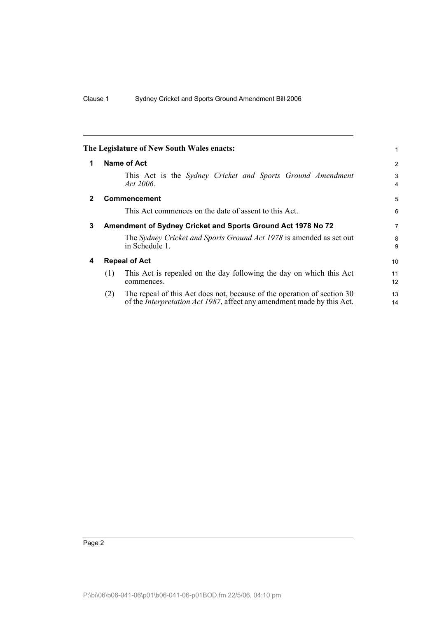<span id="page-7-3"></span><span id="page-7-2"></span><span id="page-7-1"></span><span id="page-7-0"></span>

|              | The Legislature of New South Wales enacts:                                                                                                                       | 1                   |  |
|--------------|------------------------------------------------------------------------------------------------------------------------------------------------------------------|---------------------|--|
| 1            | Name of Act                                                                                                                                                      | $\overline{2}$      |  |
|              | This Act is the Sydney Cricket and Sports Ground Amendment<br>Act 2006.                                                                                          | 3<br>$\overline{4}$ |  |
| $\mathbf{2}$ | <b>Commencement</b>                                                                                                                                              | 5                   |  |
|              | This Act commences on the date of assent to this Act.                                                                                                            | 6                   |  |
| 3            | Amendment of Sydney Cricket and Sports Ground Act 1978 No 72                                                                                                     |                     |  |
|              | The Sydney Cricket and Sports Ground Act 1978 is amended as set out<br>in Schedule 1.                                                                            | 8<br>9              |  |
| 4            | <b>Repeal of Act</b>                                                                                                                                             | 10                  |  |
|              | This Act is repealed on the day following the day on which this Act<br>(1)<br>commences.                                                                         | 11<br>12            |  |
|              | The repeal of this Act does not, because of the operation of section 30<br>(2)<br>of the <i>Interpretation Act 1987</i> , affect any amendment made by this Act. | 13<br>14            |  |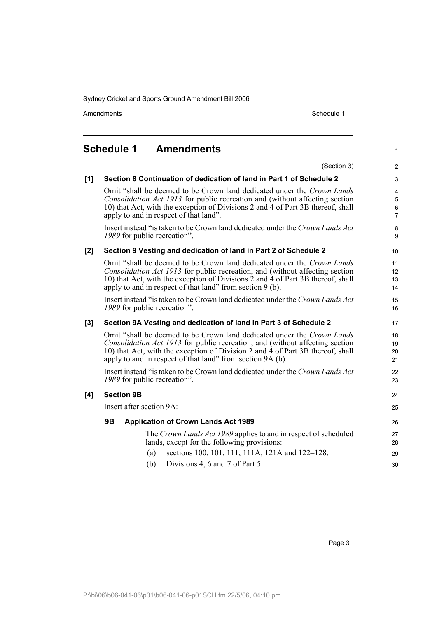Amendments Schedule 1

1

## <span id="page-8-0"></span>**Schedule 1 Amendments**

|     | (Section 3)                                                                                                                                                                                                                                                                                            | $\overline{2}$                    |  |  |  |
|-----|--------------------------------------------------------------------------------------------------------------------------------------------------------------------------------------------------------------------------------------------------------------------------------------------------------|-----------------------------------|--|--|--|
| [1] | Section 8 Continuation of dedication of land in Part 1 of Schedule 2                                                                                                                                                                                                                                   |                                   |  |  |  |
|     | Omit "shall be deemed to be Crown land dedicated under the Crown Lands<br>Consolidation Act 1913 for public recreation and (without affecting section<br>10) that Act, with the exception of Divisions 2 and 4 of Part 3B thereof, shall<br>apply to and in respect of that land".                     | 4<br>5<br>6<br>$\overline{7}$     |  |  |  |
|     | Insert instead "is taken to be Crown land dedicated under the Crown Lands Act<br>1989 for public recreation".                                                                                                                                                                                          | 8<br>9                            |  |  |  |
| [2] | Section 9 Vesting and dedication of land in Part 2 of Schedule 2                                                                                                                                                                                                                                       | 10 <sup>1</sup>                   |  |  |  |
|     | Omit "shall be deemed to be Crown land dedicated under the Crown Lands<br>Consolidation Act 1913 for public recreation, and (without affecting section<br>10) that Act, with the exception of Divisions 2 and 4 of Part 3B thereof, shall<br>apply to and in respect of that land" from section 9 (b). | 11<br>12 <sup>°</sup><br>13<br>14 |  |  |  |
|     | Insert instead "is taken to be Crown land dedicated under the Crown Lands Act<br>1989 for public recreation".                                                                                                                                                                                          | 15<br>16                          |  |  |  |
| [3] | Section 9A Vesting and dedication of land in Part 3 of Schedule 2                                                                                                                                                                                                                                      |                                   |  |  |  |
|     | Omit "shall be deemed to be Crown land dedicated under the Crown Lands<br>Consolidation Act 1913 for public recreation, and (without affecting section<br>10) that Act, with the exception of Division 2 and 4 of Part 3B thereof, shall<br>apply to and in respect of that land" from section 9A (b). |                                   |  |  |  |
|     | Insert instead "is taken to be Crown land dedicated under the Crown Lands Act<br>1989 for public recreation".                                                                                                                                                                                          |                                   |  |  |  |
| [4] | <b>Section 9B</b>                                                                                                                                                                                                                                                                                      |                                   |  |  |  |
|     | Insert after section 9A:                                                                                                                                                                                                                                                                               |                                   |  |  |  |
|     | 9B<br><b>Application of Crown Lands Act 1989</b>                                                                                                                                                                                                                                                       | 26                                |  |  |  |
|     | The Crown Lands Act 1989 applies to and in respect of scheduled                                                                                                                                                                                                                                        | 27                                |  |  |  |
|     | lands, except for the following provisions:<br>sections 100, 101, 111, 111A, 121A and 122–128,<br>(a)<br>Divisions 4, 6 and 7 of Part 5.<br>(b)                                                                                                                                                        | 28<br>29<br>30                    |  |  |  |

Page 3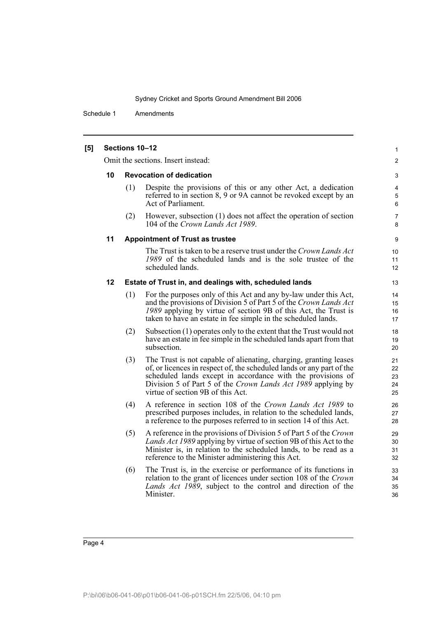Schedule 1 Amendments

|    | Sections 10-12 |                                                                                                                                                                                                                                                                                                                | 1                          |  |
|----|----------------|----------------------------------------------------------------------------------------------------------------------------------------------------------------------------------------------------------------------------------------------------------------------------------------------------------------|----------------------------|--|
|    |                | Omit the sections. Insert instead:                                                                                                                                                                                                                                                                             | $\overline{2}$             |  |
| 10 |                | <b>Revocation of dedication</b>                                                                                                                                                                                                                                                                                |                            |  |
|    | (1)            | Despite the provisions of this or any other Act, a dedication<br>referred to in section 8, 9 or 9A cannot be revoked except by an<br>Act of Parliament.                                                                                                                                                        | 4<br>5<br>6                |  |
|    | (2)            | However, subsection (1) does not affect the operation of section<br>104 of the Crown Lands Act 1989.                                                                                                                                                                                                           | $\overline{7}$<br>8        |  |
| 11 |                | <b>Appointment of Trust as trustee</b>                                                                                                                                                                                                                                                                         | 9                          |  |
|    |                | The Trust is taken to be a reserve trust under the Crown Lands Act<br>1989 of the scheduled lands and is the sole trustee of the<br>scheduled lands.                                                                                                                                                           | 10<br>11<br>12             |  |
| 12 |                | Estate of Trust in, and dealings with, scheduled lands                                                                                                                                                                                                                                                         | 13                         |  |
|    | (1)            | For the purposes only of this Act and any by-law under this Act,<br>and the provisions of Division 5 of Part 5 of the Crown Lands Act<br>1989 applying by virtue of section 9B of this Act, the Trust is<br>taken to have an estate in fee simple in the scheduled lands.                                      | 14<br>15<br>16<br>17       |  |
|    | (2)            | Subsection (1) operates only to the extent that the Trust would not<br>have an estate in fee simple in the scheduled lands apart from that<br>subsection.                                                                                                                                                      | 18<br>19<br>20             |  |
|    | (3)            | The Trust is not capable of alienating, charging, granting leases<br>of, or licences in respect of, the scheduled lands or any part of the<br>scheduled lands except in accordance with the provisions of<br>Division 5 of Part 5 of the Crown Lands Act 1989 applying by<br>virtue of section 9B of this Act. | 21<br>22<br>23<br>24<br>25 |  |
|    | (4)            | A reference in section 108 of the Crown Lands Act 1989 to<br>prescribed purposes includes, in relation to the scheduled lands,<br>a reference to the purposes referred to in section 14 of this Act.                                                                                                           | 26<br>27<br>28             |  |
|    | (5)            | A reference in the provisions of Division 5 of Part 5 of the Crown<br>Lands Act 1989 applying by virtue of section 9B of this Act to the<br>Minister is, in relation to the scheduled lands, to be read as a<br>reference to the Minister administering this Act.                                              | 29<br>30<br>31<br>32       |  |
|    | (6)            | The Trust is, in the exercise or performance of its functions in<br>relation to the grant of licences under section 108 of the Crown<br>Lands Act 1989, subject to the control and direction of the<br>Minister.                                                                                               | 33<br>34<br>35<br>36       |  |
|    |                |                                                                                                                                                                                                                                                                                                                |                            |  |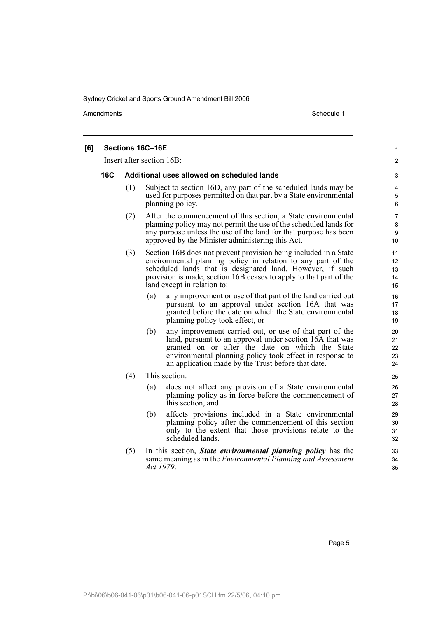Amendments Schedule 1

| [6] |            |                                            | Sections 16C-16E            |                                                                                                                                                                                                                                                                                          | 1                          |
|-----|------------|--------------------------------------------|-----------------------------|------------------------------------------------------------------------------------------------------------------------------------------------------------------------------------------------------------------------------------------------------------------------------------------|----------------------------|
|     |            |                                            | Insert after section 16B:   |                                                                                                                                                                                                                                                                                          | 2                          |
|     | <b>16C</b> | Additional uses allowed on scheduled lands |                             |                                                                                                                                                                                                                                                                                          | 3                          |
|     |            | (1)                                        | planning policy.            | Subject to section 16D, any part of the scheduled lands may be<br>used for purposes permitted on that part by a State environmental                                                                                                                                                      | 4<br>5<br>6                |
|     |            | (2)                                        |                             | After the commencement of this section, a State environmental<br>planning policy may not permit the use of the scheduled lands for<br>any purpose unless the use of the land for that purpose has been<br>approved by the Minister administering this Act.                               | 7<br>$\bf 8$<br>9<br>10    |
|     |            | (3)                                        | land except in relation to: | Section 16B does not prevent provision being included in a State<br>environmental planning policy in relation to any part of the<br>scheduled lands that is designated land. However, if such<br>provision is made, section 16B ceases to apply to that part of the                      | 11<br>12<br>13<br>14<br>15 |
|     |            |                                            | (a)                         | any improvement or use of that part of the land carried out<br>pursuant to an approval under section 16A that was<br>granted before the date on which the State environmental<br>planning policy took effect, or                                                                         | 16<br>17<br>18<br>19       |
|     |            |                                            | (b)                         | any improvement carried out, or use of that part of the<br>land, pursuant to an approval under section 16A that was<br>granted on or after the date on which the State<br>environmental planning policy took effect in response to<br>an application made by the Trust before that date. | 20<br>21<br>22<br>23<br>24 |
|     |            | (4)                                        | This section:               |                                                                                                                                                                                                                                                                                          | 25                         |
|     |            |                                            | (a)<br>this section, and    | does not affect any provision of a State environmental<br>planning policy as in force before the commencement of                                                                                                                                                                         | 26<br>27<br>28             |
|     |            |                                            | (b)<br>scheduled lands.     | affects provisions included in a State environmental<br>planning policy after the commencement of this section<br>only to the extent that those provisions relate to the                                                                                                                 | 29<br>30<br>31<br>32       |
|     |            | (5)                                        | Act 1979.                   | In this section, <i>State environmental planning policy</i> has the<br>same meaning as in the Environmental Planning and Assessment                                                                                                                                                      | 33<br>34<br>35             |

Page 5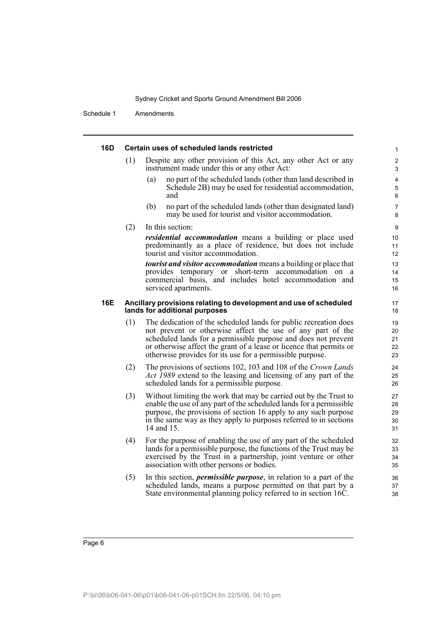Schedule 1 Amendments

| 16D |     | Certain uses of scheduled lands restricted                                                                                                                                                                                                                                                                                           | 1                            |
|-----|-----|--------------------------------------------------------------------------------------------------------------------------------------------------------------------------------------------------------------------------------------------------------------------------------------------------------------------------------------|------------------------------|
|     | (1) | Despite any other provision of this Act, any other Act or any<br>instrument made under this or any other Act:                                                                                                                                                                                                                        | $\overline{\mathbf{c}}$<br>3 |
|     |     | no part of the scheduled lands (other than land described in<br>(a)<br>Schedule 2B) may be used for residential accommodation,<br>and                                                                                                                                                                                                | 4<br>5<br>6                  |
|     |     | (b)<br>no part of the scheduled lands (other than designated land)<br>may be used for tourist and visitor accommodation.                                                                                                                                                                                                             | 7<br>8                       |
|     | (2) | In this section:                                                                                                                                                                                                                                                                                                                     | 9                            |
|     |     | <i>residential accommodation</i> means a building or place used<br>predominantly as a place of residence, but does not include<br>tourist and visitor accommodation.                                                                                                                                                                 | 10<br>11<br>12               |
|     |     | <i>tourist and visitor accommodation</i> means a building or place that<br>provides temporary or short-term accommodation on a<br>commercial basis, and includes hotel accommodation and<br>serviced apartments.                                                                                                                     | 13<br>14<br>15<br>16         |
| 16E |     | Ancillary provisions relating to development and use of scheduled<br>lands for additional purposes                                                                                                                                                                                                                                   | 17<br>18                     |
|     | (1) | The dedication of the scheduled lands for public recreation does<br>not prevent or otherwise affect the use of any part of the<br>scheduled lands for a permissible purpose and does not prevent<br>or otherwise affect the grant of a lease or licence that permits or<br>otherwise provides for its use for a permissible purpose. | 19<br>20<br>21<br>22<br>23   |
|     | (2) | The provisions of sections 102, 103 and 108 of the Crown Lands<br><i>Act 1989</i> extend to the leasing and licensing of any part of the<br>scheduled lands for a permissible purpose.                                                                                                                                               | 24<br>25<br>26               |
|     | (3) | Without limiting the work that may be carried out by the Trust to<br>enable the use of any part of the scheduled lands for a permissible<br>purpose, the provisions of section 16 apply to any such purpose<br>in the same way as they apply to purposes referred to in sections<br>14 and 15.                                       | 27<br>28<br>29<br>30<br>31   |
|     | (4) | For the purpose of enabling the use of any part of the scheduled<br>lands for a permissible purpose, the functions of the Trust may be<br>exercised by the Trust in a partnership, joint venture or other<br>association with other persons or bodies.                                                                               | 32<br>33<br>34<br>35         |
|     | (5) | In this section, <i>permissible purpose</i> , in relation to a part of the<br>scheduled lands, means a purpose permitted on that part by a<br>State environmental planning policy referred to in section 16C.                                                                                                                        | 36<br>37<br>38               |
|     |     |                                                                                                                                                                                                                                                                                                                                      |                              |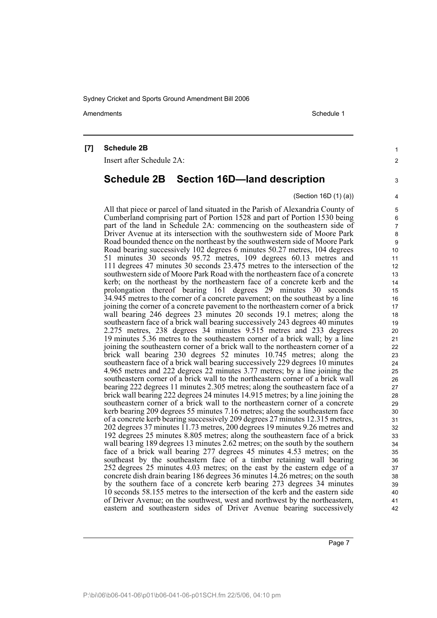Amendments **Amendments** Schedule 1

1  $\mathfrak{p}$ 

3

#### **[7] Schedule 2B**

Insert after Schedule 2A:

### **Schedule 2B Section 16D—land description**

(Section 16D (1) (a))

All that piece or parcel of land situated in the Parish of Alexandria County of Cumberland comprising part of Portion 1528 and part of Portion 1530 being part of the land in Schedule 2A: commencing on the southeastern side of Driver Avenue at its intersection with the southwestern side of Moore Park Road bounded thence on the northeast by the southwestern side of Moore Park Road bearing successively 102 degrees 6 minutes 50.27 metres, 104 degrees 51 minutes 30 seconds 95.72 metres, 109 degrees 60.13 metres and 111 degrees 47 minutes 30 seconds 23.475 metres to the intersection of the southwestern side of Moore Park Road with the northeastern face of a concrete kerb; on the northeast by the northeastern face of a concrete kerb and the prolongation thereof bearing 161 degrees 29 minutes 30 seconds 34.945 metres to the corner of a concrete pavement; on the southeast by a line joining the corner of a concrete pavement to the northeastern corner of a brick wall bearing 246 degrees 23 minutes 20 seconds 19.1 metres; along the southeastern face of a brick wall bearing successively 243 degrees 40 minutes 2.275 metres, 238 degrees 34 minutes 9.515 metres and 233 degrees 19 minutes 5.36 metres to the southeastern corner of a brick wall; by a line joining the southeastern corner of a brick wall to the northeastern corner of a brick wall bearing 230 degrees 52 minutes 10.745 metres; along the southeastern face of a brick wall bearing successively 229 degrees 10 minutes 4.965 metres and 222 degrees 22 minutes 3.77 metres; by a line joining the southeastern corner of a brick wall to the northeastern corner of a brick wall bearing 222 degrees 11 minutes 2.305 metres; along the southeastern face of a brick wall bearing 222 degrees 24 minutes 14.915 metres; by a line joining the southeastern corner of a brick wall to the northeastern corner of a concrete kerb bearing 209 degrees 55 minutes 7.16 metres; along the southeastern face of a concrete kerb bearing successively 209 degrees 27 minutes 12.315 metres, 202 degrees 37 minutes 11.73 metres, 200 degrees 19 minutes 9.26 metres and 192 degrees 25 minutes 8.805 metres; along the southeastern face of a brick wall bearing 189 degrees 13 minutes 2.62 metres; on the south by the southern face of a brick wall bearing 277 degrees 45 minutes 4.53 metres; on the southeast by the southeastern face of a timber retaining wall bearing 252 degrees 25 minutes 4.03 metres; on the east by the eastern edge of a concrete dish drain bearing 186 degrees 36 minutes 14.26 metres; on the south by the southern face of a concrete kerb bearing 273 degrees 34 minutes 10 seconds 58.155 metres to the intersection of the kerb and the eastern side of Driver Avenue; on the southwest, west and northwest by the northeastern, eastern and southeastern sides of Driver Avenue bearing successively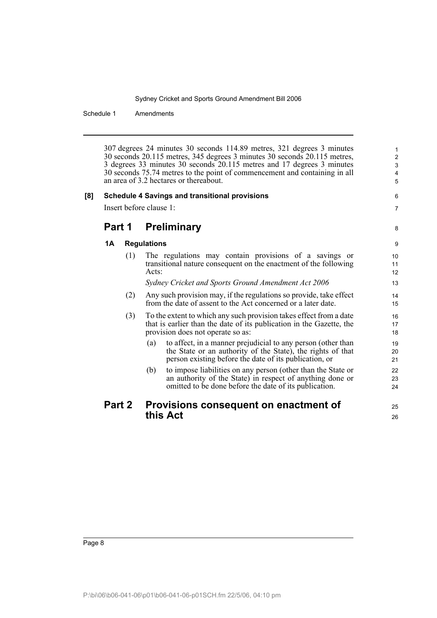Schedule 1 Amendments

307 degrees 24 minutes 30 seconds 114.89 metres, 321 degrees 3 minutes 30 seconds 20.115 metres, 345 degrees 3 minutes 30 seconds 20.115 metres, 3 degrees 33 minutes 30 seconds 20.115 metres and 17 degrees 3 minutes 30 seconds 75.74 metres to the point of commencement and containing in all an area of 3.2 hectares or thereabout.

6 7

8

25 26

#### **[8] Schedule 4 Savings and transitional provisions**

Insert before clause 1:

## **Part 1 Preliminary**

#### **1A Regulations**

(1) The regulations may contain provisions of a savings or transitional nature consequent on the enactment of the following Acts:

*Sydney Cricket and Sports Ground Amendment Act 2006*

- (2) Any such provision may, if the regulations so provide, take effect from the date of assent to the Act concerned or a later date.
- (3) To the extent to which any such provision takes effect from a date that is earlier than the date of its publication in the Gazette, the provision does not operate so as:
	- (a) to affect, in a manner prejudicial to any person (other than the State or an authority of the State), the rights of that person existing before the date of its publication, or
	- (b) to impose liabilities on any person (other than the State or an authority of the State) in respect of anything done or omitted to be done before the date of its publication.

## **Part 2 Provisions consequent on enactment of this Act**